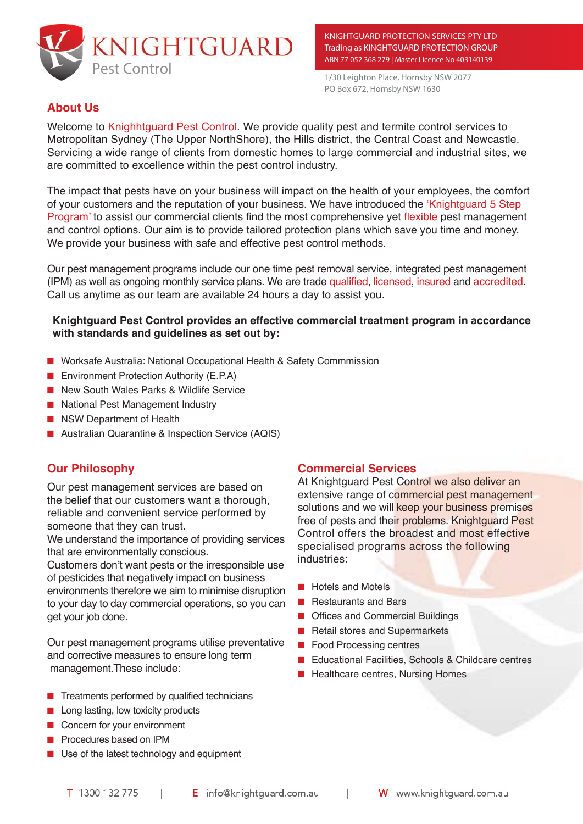

1/30 Leighton Place, Hornsby NSW 2077 PO Box 672, Hornsby NSW 1630

## **About Us**

Welcome to Knighhtguard Pest Control. We provide quality pest and termite control services to Metropolitan Sydney (The Upper NorthShore), the Hills district, the Central Coast and Newcastle. Servicing a wide range of clients from domestic homes to large commercial and industrial sites, we are committed to excellence within the pest control industry.

The impact that pests have on your business will impact on the health of your employees, the comfort of your customers and the reputation of your business. We have introduced the 'Knightguard 5 Step Program' to assist our commercial clients find the most comprehensive yet flexible pest management and control options. Our aim is to provide tailored protection plans which save you time and money. We provide your business with safe and effective pest control methods.

Our pest management programs include our one time pest removal service, integrated pest management (IPM) as well as ongoing monthly service plans. We are trade qualified, licensed, insured and accredited. Call us anytime as our team are available 24 hours a day to assist you.

#### **Knightguard Pest Control provides an effective commercial treatment program in accordance with standards and guidelines as set out by:**

- Worksafe Australia: National Occupational Health & Safety Commmission
- Environment Protection Authority (E.P.A)
- New South Wales Parks & Wildlife Service
- National Pest Management Industry
- NSW Department of Health
- Australian Quarantine & Inspection Service (AQIS)

## **Our Philosophy**

Our pest management services are based on the belief that our customers want a thorough, reliable and convenient service performed by someone that they can trust.

We understand the importance of providing services that are environmentally conscious.

Customers don't want pests or the irresponsible use of pesticides that negatively impact on business environments therefore we aim to minimise disruption to your day to day commercial operations, so you can get your job done.

Our pest management programs utilise preventative and corrective measures to ensure long term management.These include:

- Treatments performed by qualified technicians
- Long lasting, low toxicity products
- Concern for your environment
- Procedures based on IPM
- Use of the latest technology and equipment

#### **Commercial Services**

At Knightguard Pest Control we also deliver an extensive range of commercial pest management solutions and we will keep your business premises free of pests and their problems. Knightguard Pest Control offers the broadest and most effective specialised programs across the following industries:

- Hotels and Motels
- Restaurants and Bars
- Offices and Commercial Buildings
- Retail stores and Supermarkets
- Food Processing centres
- Educational Facilities, Schools & Childcare centres
- Healthcare centres, Nursing Homes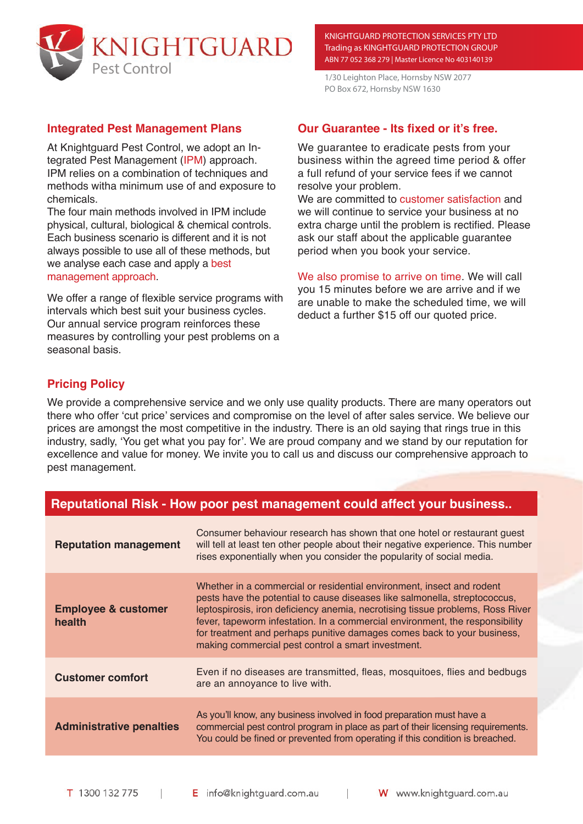

1/30 Leighton Place, Hornsby NSW 2077 PO Box 672, Hornsby NSW 1630

#### **Integrated Pest Management Plans**

At Knightguard Pest Control, we adopt an Integrated Pest Management (IPM) approach. IPM relies on a combination of techniques and methods witha minimum use of and exposure to chemicals.

The four main methods involved in IPM include physical, cultural, biological & chemical controls. Each business scenario is different and it is not always possible to use all of these methods, but we analyse each case and apply a best management approach.

We offer a range of flexible service programs with intervals which best suit your business cycles. Our annual service program reinforces these measures by controlling your pest problems on a seasonal basis.

## **Our Guarantee - Its fixed or it's free.**

We guarantee to eradicate pests from your business within the agreed time period & offer a full refund of your service fees if we cannot resolve your problem.

We are committed to customer satisfaction and we will continue to service your business at no extra charge until the problem is rectified. Please ask our staff about the applicable guarantee period when you book your service.

We also promise to arrive on time. We will call you 15 minutes before we are arrive and if we are unable to make the scheduled time, we will deduct a further \$15 off our quoted price.

## **Pricing Policy**

We provide a comprehensive service and we only use quality products. There are many operators out there who offer 'cut price' services and compromise on the level of after sales service. We believe our prices are amongst the most competitive in the industry. There is an old saying that rings true in this industry, sadly, 'You get what you pay for'. We are proud company and we stand by our reputation for excellence and value for money. We invite you to call us and discuss our comprehensive approach to pest management.

#### **Reputational Risk - How poor pest management could affect your business..**

| <b>Reputation management</b>                    | Consumer behaviour research has shown that one hotel or restaurant guest<br>will tell at least ten other people about their negative experience. This number<br>rises exponentially when you consider the popularity of social media.                                                                                                                                                                                                                  |
|-------------------------------------------------|--------------------------------------------------------------------------------------------------------------------------------------------------------------------------------------------------------------------------------------------------------------------------------------------------------------------------------------------------------------------------------------------------------------------------------------------------------|
| <b>Employee &amp; customer</b><br><b>health</b> | Whether in a commercial or residential environment, insect and rodent<br>pests have the potential to cause diseases like salmonella, streptococcus,<br>leptospirosis, iron deficiency anemia, necrotising tissue problems, Ross River<br>fever, tapeworm infestation. In a commercial environment, the responsibility<br>for treatment and perhaps punitive damages comes back to your business,<br>making commercial pest control a smart investment. |
| <b>Customer comfort</b>                         | Even if no diseases are transmitted, fleas, mosquitoes, flies and bedbugs<br>are an annoyance to live with.                                                                                                                                                                                                                                                                                                                                            |
| <b>Administrative penalties</b>                 | As you'll know, any business involved in food preparation must have a<br>commercial pest control program in place as part of their licensing requirements.<br>You could be fined or prevented from operating if this condition is breached.                                                                                                                                                                                                            |